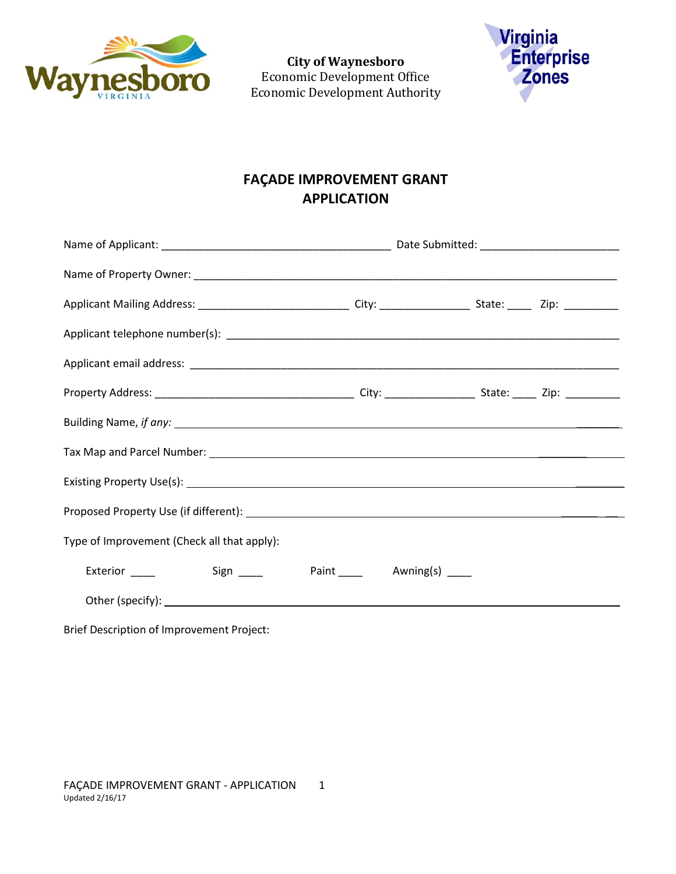

**City of Waynesboro**  Economic Development Office Economic Development Authority



## **FAÇADE IMPROVEMENT GRANT APPLICATION**

| Type of Improvement (Check all that apply): |                              |  |  |  |
|---------------------------------------------|------------------------------|--|--|--|
|                                             | Paint ______ Awning(s) _____ |  |  |  |
|                                             |                              |  |  |  |

Brief Description of Improvement Project: